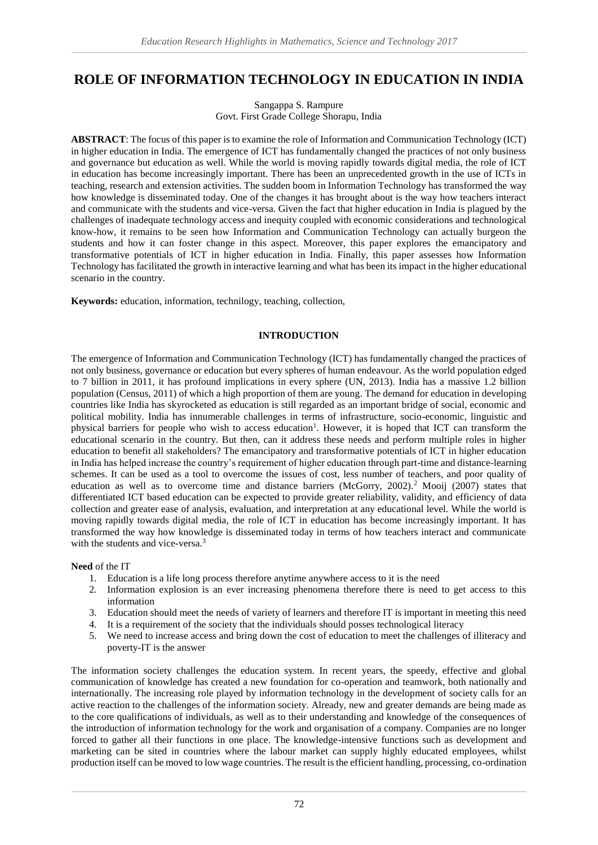# **ROLE OF INFORMATION TECHNOLOGY IN EDUCATION IN INDIA**

Sangappa S. Rampure Govt. First Grade College Shorapu, India

**ABSTRACT**: The focus of this paper is to examine the role of Information and Communication Technology (ICT) in higher education in India. The emergence of ICT has fundamentally changed the practices of not only business and governance but education as well. While the world is moving rapidly towards digital media, the role of ICT in education has become increasingly important. There has been an unprecedented growth in the use of ICTs in teaching, research and extension activities. The sudden boom in Information Technology has transformed the way how knowledge is disseminated today. One of the changes it has brought about is the way how teachers interact and communicate with the students and vice-versa. Given the fact that higher education in India is plagued by the challenges of inadequate technology access and inequity coupled with economic considerations and technological know-how, it remains to be seen how Information and Communication Technology can actually burgeon the students and how it can foster change in this aspect. Moreover, this paper explores the emancipatory and transformative potentials of ICT in higher education in India. Finally, this paper assesses how Information Technology has facilitated the growth in interactive learning and what has been its impact in the higher educational scenario in the country.

**Keywords:** education, information, technilogy, teaching, collection,

## **INTRODUCTION**

The emergence of Information and Communication Technology (ICT) has fundamentally changed the practices of not only business, governance or education but every spheres of human endeavour. As the world population edged to 7 billion in 2011, it has profound implications in every sphere (UN, 2013). India has a massive 1.2 billion population (Census, 2011) of which a high proportion of them are young. The demand for education in developing countries like India has skyrocketed as education is still regarded as an important bridge of social, economic and political mobility. India has innumerable challenges in terms of infrastructure, socio-economic, linguistic and physical barriers for people who wish to access education<sup>1</sup>. However, it is hoped that ICT can transform the educational scenario in the country. But then, can it address these needs and perform multiple roles in higher education to benefit all stakeholders? The emancipatory and transformative potentials of ICT in higher education in India has helped increase the country's requirement of higher education through part-time and distance-learning schemes. It can be used as a tool to overcome the issues of cost, less number of teachers, and poor quality of education as well as to overcome time and distance barriers (McGorry, 2002).<sup>2</sup> Mooij (2007) states that differentiated ICT based education can be expected to provide greater reliability, validity, and efficiency of data collection and greater ease of analysis, evaluation, and interpretation at any educational level. While the world is moving rapidly towards digital media, the role of ICT in education has become increasingly important. It has transformed the way how knowledge is disseminated today in terms of how teachers interact and communicate with the students and vice-versa.<sup>3</sup>

**Need** of the IT

- 1. Education is a life long process therefore anytime anywhere access to it is the need
- 2. Information explosion is an ever increasing phenomena therefore there is need to get access to this information
- 3. Education should meet the needs of variety of learners and therefore IT is important in meeting this need
- 4. It is a requirement of the society that the individuals should posses technological literacy
- 5. We need to increase access and bring down the cost of education to meet the challenges of illiteracy and poverty-IT is the answer

The information society challenges the education system. In recent years, the speedy, effective and global communication of knowledge has created a new foundation for co-operation and teamwork, both nationally and internationally. The increasing role played by information technology in the development of society calls for an active reaction to the challenges of the information society. Already, new and greater demands are being made as to the core qualifications of individuals, as well as to their understanding and knowledge of the consequences of the introduction of information technology for the work and organisation of a company. Companies are no longer forced to gather all their functions in one place. The knowledge-intensive functions such as development and marketing can be sited in countries where the labour market can supply highly educated employees, whilst production itself can be moved to low wage countries. The result is the efficient handling, processing, co-ordination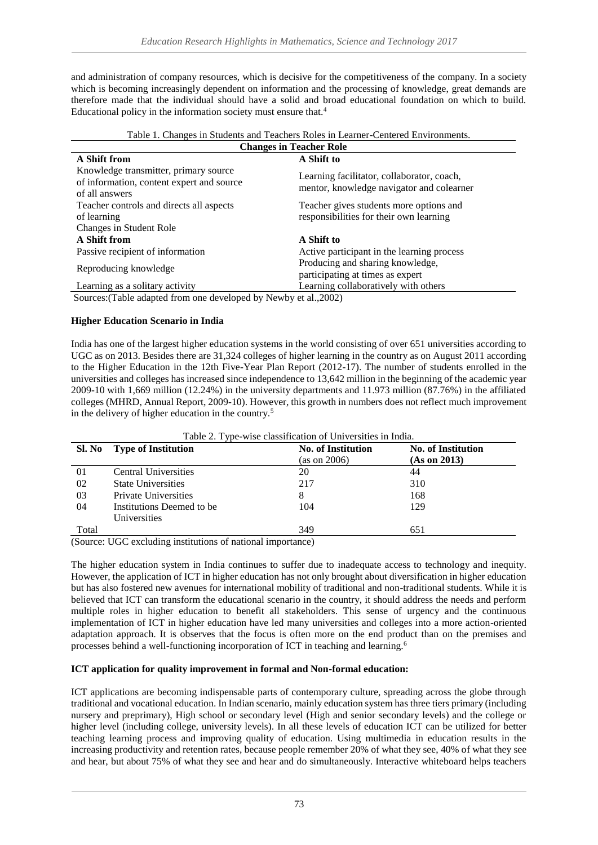and administration of company resources, which is decisive for the competitiveness of the company. In a society which is becoming increasingly dependent on information and the processing of knowledge, great demands are therefore made that the individual should have a solid and broad educational foundation on which to build. Educational policy in the information society must ensure that.<sup>4</sup>

| Table 1. Changes in Students and Teachers Roles in Learner-Centered Environments.                    |                                                                                         |  |  |
|------------------------------------------------------------------------------------------------------|-----------------------------------------------------------------------------------------|--|--|
| <b>Changes in Teacher Role</b>                                                                       |                                                                                         |  |  |
| A Shift from                                                                                         | A Shift to                                                                              |  |  |
| Knowledge transmitter, primary source<br>of information, content expert and source<br>of all answers | Learning facilitator, collaborator, coach,<br>mentor, knowledge navigator and colearner |  |  |
| Teacher controls and directs all aspects<br>of learning<br>Changes in Student Role                   | Teacher gives students more options and<br>responsibilities for their own learning      |  |  |
| A Shift from                                                                                         | A Shift to                                                                              |  |  |
| Passive recipient of information                                                                     | Active participant in the learning process                                              |  |  |
| Reproducing knowledge                                                                                | Producing and sharing knowledge,<br>participating at times as expert                    |  |  |
| Learning as a solitary activity                                                                      | Learning collaboratively with others                                                    |  |  |

Sources:(Table adapted from one developed by Newby et al.,2002)

## **Higher Education Scenario in India**

India has one of the largest higher education systems in the world consisting of over 651 universities according to UGC as on 2013. Besides there are 31,324 colleges of higher learning in the country as on August 2011 according to the Higher Education in the 12th Five-Year Plan Report (2012-17). The number of students enrolled in the universities and colleges has increased since independence to 13,642 million in the beginning of the academic year 2009-10 with 1,669 million (12.24%) in the university departments and 11.973 million (87.76%) in the affiliated colleges (MHRD, Annual Report, 2009-10). However, this growth in numbers does not reflect much improvement in the delivery of higher education in the country.<sup>5</sup>

|        | Table 2. Type-wise classification of Universities in India. |                           |                           |
|--------|-------------------------------------------------------------|---------------------------|---------------------------|
| Sl. No | <b>Type of Institution</b>                                  | <b>No. of Institution</b> | <b>No. of Institution</b> |
|        |                                                             | (as on 2006)              | (As on 2013)              |
| 01     | Central Universities                                        | 20                        | 44                        |
| 02     | <b>State Universities</b>                                   | 217                       | 310                       |
| 03     | Private Universities                                        | 8                         | 168                       |
| 04     | Institutions Deemed to be.                                  | 104                       | 129                       |
|        | Universities                                                |                           |                           |
| Total  |                                                             | 349                       | 651                       |

Table 2. Type-wise classification of Universities in India.

(Source: UGC excluding institutions of national importance)

The higher education system in India continues to suffer due to inadequate access to technology and inequity. However, the application of ICT in higher education has not only brought about diversification in higher education but has also fostered new avenues for international mobility of traditional and non-traditional students. While it is believed that ICT can transform the educational scenario in the country, it should address the needs and perform multiple roles in higher education to benefit all stakeholders. This sense of urgency and the continuous implementation of ICT in higher education have led many universities and colleges into a more action-oriented adaptation approach. It is observes that the focus is often more on the end product than on the premises and processes behind a well-functioning incorporation of ICT in teaching and learning.<sup>6</sup>

## **ICT application for quality improvement in formal and Non-formal education:**

ICT applications are becoming indispensable parts of contemporary culture, spreading across the globe through traditional and vocational education. In Indian scenario, mainly education system has three tiers primary (including nursery and preprimary), High school or secondary level (High and senior secondary levels) and the college or higher level (including college, university levels). In all these levels of education ICT can be utilized for better teaching learning process and improving quality of education. Using multimedia in education results in the increasing productivity and retention rates, because people remember 20% of what they see, 40% of what they see and hear, but about 75% of what they see and hear and do simultaneously. Interactive whiteboard helps teachers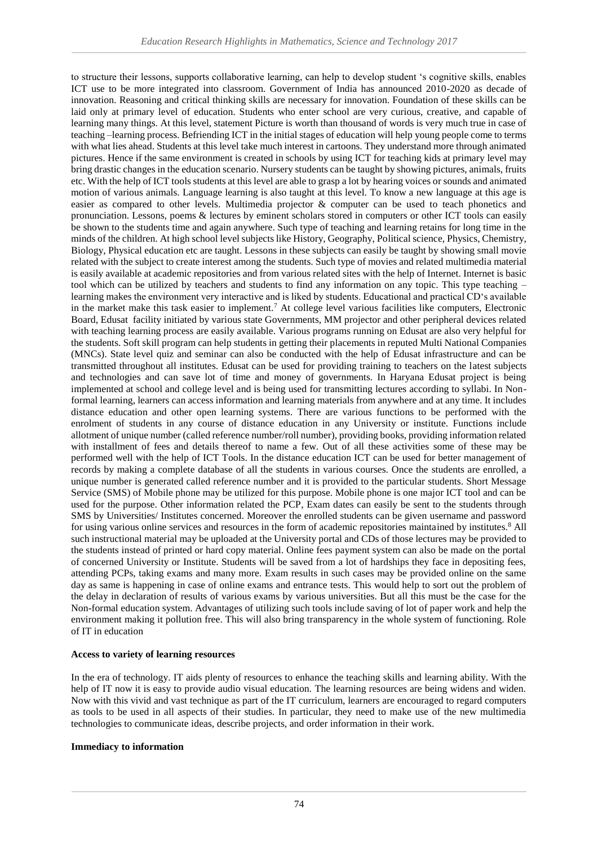to structure their lessons, supports collaborative learning, can help to develop student 's cognitive skills, enables ICT use to be more integrated into classroom. Government of India has announced 2010-2020 as decade of innovation. Reasoning and critical thinking skills are necessary for innovation. Foundation of these skills can be laid only at primary level of education. Students who enter school are very curious, creative, and capable of learning many things. At this level, statement Picture is worth than thousand of words is very much true in case of teaching –learning process. Befriending ICT in the initial stages of education will help young people come to terms with what lies ahead. Students at this level take much interest in cartoons. They understand more through animated pictures. Hence if the same environment is created in schools by using ICT for teaching kids at primary level may bring drastic changes in the education scenario. Nursery students can be taught by showing pictures, animals, fruits etc. With the help of ICT tools students at this level are able to grasp a lot by hearing voices or sounds and animated motion of various animals. Language learning is also taught at this level. To know a new language at this age is easier as compared to other levels. Multimedia projector & computer can be used to teach phonetics and pronunciation. Lessons, poems & lectures by eminent scholars stored in computers or other ICT tools can easily be shown to the students time and again anywhere. Such type of teaching and learning retains for long time in the minds of the children. At high school level subjects like History, Geography, Political science, Physics, Chemistry, Biology, Physical education etc are taught. Lessons in these subjects can easily be taught by showing small movie related with the subject to create interest among the students. Such type of movies and related multimedia material is easily available at academic repositories and from various related sites with the help of Internet. Internet is basic tool which can be utilized by teachers and students to find any information on any topic. This type teaching – learning makes the environment very interactive and is liked by students. Educational and practical CD's available in the market make this task easier to implement.<sup>7</sup> At college level various facilities like computers, Electronic Board, Edusat facility initiated by various state Governments, MM projector and other peripheral devices related with teaching learning process are easily available. Various programs running on Edusat are also very helpful for the students. Soft skill program can help students in getting their placements in reputed Multi National Companies (MNCs). State level quiz and seminar can also be conducted with the help of Edusat infrastructure and can be transmitted throughout all institutes. Edusat can be used for providing training to teachers on the latest subjects and technologies and can save lot of time and money of governments. In Haryana Edusat project is being implemented at school and college level and is being used for transmitting lectures according to syllabi. In Nonformal learning, learners can access information and learning materials from anywhere and at any time. It includes distance education and other open learning systems. There are various functions to be performed with the enrolment of students in any course of distance education in any University or institute. Functions include allotment of unique number (called reference number/roll number), providing books, providing information related with installment of fees and details thereof to name a few. Out of all these activities some of these may be performed well with the help of ICT Tools. In the distance education ICT can be used for better management of records by making a complete database of all the students in various courses. Once the students are enrolled, a unique number is generated called reference number and it is provided to the particular students. Short Message Service (SMS) of Mobile phone may be utilized for this purpose. Mobile phone is one major ICT tool and can be used for the purpose. Other information related the PCP, Exam dates can easily be sent to the students through SMS by Universities/ Institutes concerned. Moreover the enrolled students can be given username and password for using various online services and resources in the form of academic repositories maintained by institutes.<sup>8</sup> All such instructional material may be uploaded at the University portal and CDs of those lectures may be provided to the students instead of printed or hard copy material. Online fees payment system can also be made on the portal of concerned University or Institute. Students will be saved from a lot of hardships they face in depositing fees, attending PCPs, taking exams and many more. Exam results in such cases may be provided online on the same day as same is happening in case of online exams and entrance tests. This would help to sort out the problem of the delay in declaration of results of various exams by various universities. But all this must be the case for the Non-formal education system. Advantages of utilizing such tools include saving of lot of paper work and help the environment making it pollution free. This will also bring transparency in the whole system of functioning. Role of IT in education

## **Access to variety of learning resources**

In the era of technology. IT aids plenty of resources to enhance the teaching skills and learning ability. With the help of IT now it is easy to provide audio visual education. The learning resources are being widens and widen. Now with this vivid and vast technique as part of the IT curriculum, learners are encouraged to regard computers as tools to be used in all aspects of their studies. In particular, they need to make use of the new multimedia technologies to communicate ideas, describe projects, and order information in their work.

## **Immediacy to information**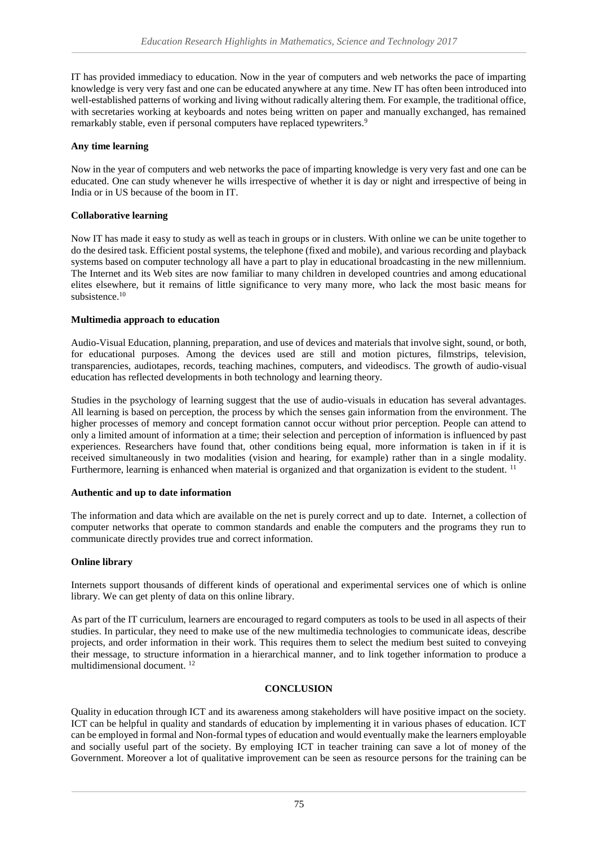IT has provided immediacy to education. Now in the year of computers and web networks the pace of imparting knowledge is very very fast and one can be educated anywhere at any time. New IT has often been introduced into well-established patterns of working and living without radically altering them. For example, the traditional office, with secretaries working at keyboards and notes being written on paper and manually exchanged, has remained remarkably stable, even if personal computers have replaced typewriters.<sup>9</sup>

## **Any time learning**

Now in the year of computers and web networks the pace of imparting knowledge is very very fast and one can be educated. One can study whenever he wills irrespective of whether it is day or night and irrespective of being in India or in US because of the boom in IT.

## **Collaborative learning**

Now IT has made it easy to study as well as teach in groups or in clusters. With online we can be unite together to do the desired task. Efficient postal systems, the telephone (fixed and mobile), and various recording and playback systems based on computer technology all have a part to play in educational broadcasting in the new millennium. The Internet and its Web sites are now familiar to many children in developed countries and among educational elites elsewhere, but it remains of little significance to very many more, who lack the most basic means for subsistence.<sup>10</sup>

## **Multimedia approach to education**

Audio-Visual Education, planning, preparation, and use of devices and materials that involve sight, sound, or both, for educational purposes. Among the devices used are still and motion pictures, filmstrips, television, transparencies, audiotapes, records, teaching machines, computers, and videodiscs. The growth of audio-visual education has reflected developments in both technology and learning theory.

Studies in the psychology of learning suggest that the use of audio-visuals in education has several advantages. All learning is based on perception, the process by which the senses gain information from the environment. The higher processes of memory and concept formation cannot occur without prior perception. People can attend to only a limited amount of information at a time; their selection and perception of information is influenced by past experiences. Researchers have found that, other conditions being equal, more information is taken in if it is received simultaneously in two modalities (vision and hearing, for example) rather than in a single modality. Furthermore, learning is enhanced when material is organized and that organization is evident to the student. <sup>11</sup>

## **Authentic and up to date information**

The information and data which are available on the net is purely correct and up to date. Internet, a collection of computer networks that operate to common standards and enable the computers and the programs they run to communicate directly provides true and correct information.

## **Online library**

Internets support thousands of different kinds of operational and experimental services one of which is online library. We can get plenty of data on this online library.

As part of the IT curriculum, learners are encouraged to regard computers as tools to be used in all aspects of their studies. In particular, they need to make use of the new multimedia technologies to communicate ideas, describe projects, and order information in their work. This requires them to select the medium best suited to conveying their message, to structure information in a hierarchical manner, and to link together information to produce a multidimensional document. <sup>12</sup>

## **CONCLUSION**

Quality in education through ICT and its awareness among stakeholders will have positive impact on the society. ICT can be helpful in quality and standards of education by implementing it in various phases of education. ICT can be employed in formal and Non-formal types of education and would eventually make the learners employable and socially useful part of the society. By employing ICT in teacher training can save a lot of money of the Government. Moreover a lot of qualitative improvement can be seen as resource persons for the training can be